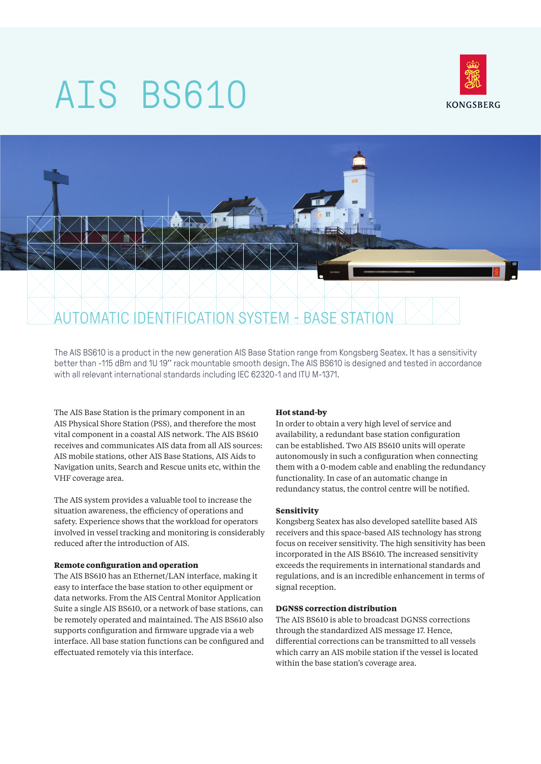# AIS BS610





The AIS BS610 is a product in the new generation AIS Base Station range from Kongsberg Seatex. It has a sensitivity better than -115 dBm and 1U 19'' rack mountable smooth design. The AIS BS610 is designed and tested in accordance with all relevant international standards including IEC 62320-1 and ITU M-1371.

The AIS Base Station is the primary component in an AIS Physical Shore Station (PSS), and therefore the most vital component in a coastal AIS network. The AIS BS610 receives and communicates AIS data from all AIS sources: AIS mobile stations, other AIS Base Stations, AIS Aids to Navigation units, Search and Rescue units etc, within the VHF coverage area.

The AIS system provides a valuable tool to increase the situation awareness, the efficiency of operations and safety. Experience shows that the workload for operators involved in vessel tracking and monitoring is considerably reduced after the introduction of AIS.

#### **Remote configuration and operation**

The AIS BS610 has an Ethernet/LAN interface, making it easy to interface the base station to other equipment or data networks. From the AIS Central Monitor Application Suite a single AIS BS610, or a network of base stations, can be remotely operated and maintained. The AIS BS610 also supports configuration and firmware upgrade via a web interface. All base station functions can be configured and effectuated remotely via this interface.

#### **Hot stand-by**

In order to obtain a very high level of service and availability, a redundant base station configuration can be established. Two AIS BS610 units will operate autonomously in such a configuration when connecting them with a 0-modem cable and enabling the redundancy functionality. In case of an automatic change in redundancy status, the control centre will be notified.

#### **Sensitivity**

Kongsberg Seatex has also developed satellite based AIS receivers and this space-based AIS technology has strong focus on receiver sensitivity. The high sensitivity has been incorporated in the AIS BS610. The increased sensitivity exceeds the requirements in international standards and regulations, and is an incredible enhancement in terms of signal reception.

#### **DGNSS correction distribution**

The AIS BS610 is able to broadcast DGNSS corrections through the standardized AIS message 17. Hence, differential corrections can be transmitted to all vessels which carry an AIS mobile station if the vessel is located within the base station's coverage area.